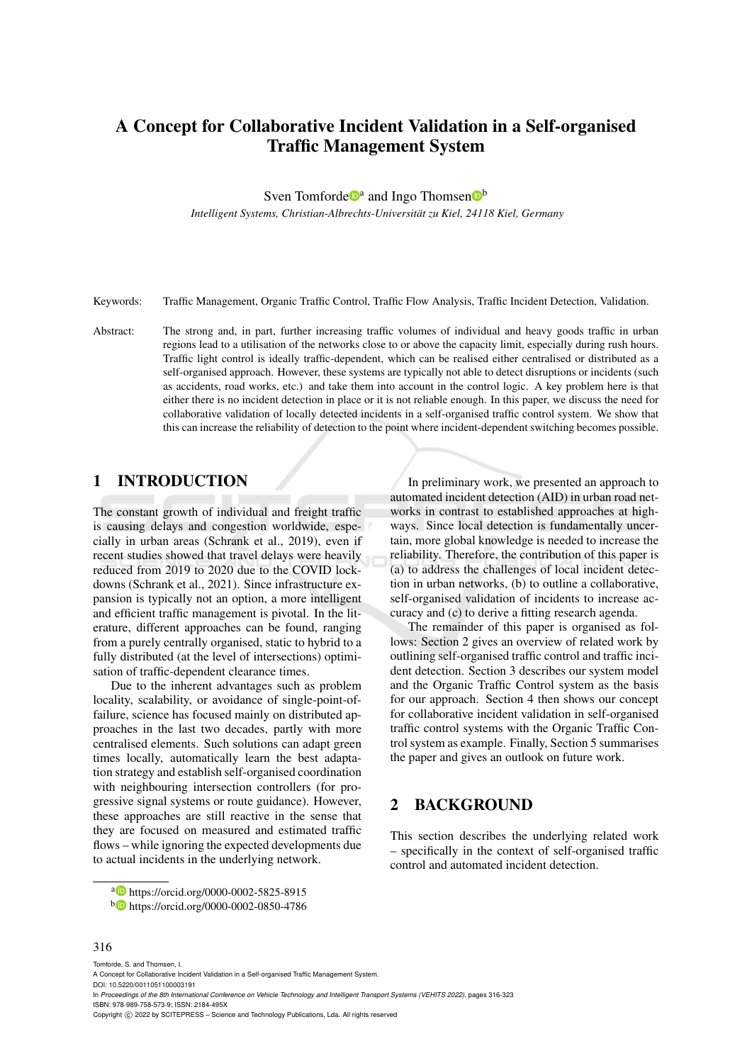# A Concept for Collaborative Incident Validation in a Self-organised Traffic Management System

Sven Tomforde<sup>t</sup><sup>a</sup> and Ingo Thomsen<sup>t<sup>b</sup></sup>

*Intelligent Systems, Christian-Albrechts-Universitat zu Kiel, 24118 Kiel, Germany ¨*

Keywords: Traffic Management, Organic Traffic Control, Traffic Flow Analysis, Traffic Incident Detection, Validation.

Abstract: The strong and, in part, further increasing traffic volumes of individual and heavy goods traffic in urban regions lead to a utilisation of the networks close to or above the capacity limit, especially during rush hours. Traffic light control is ideally traffic-dependent, which can be realised either centralised or distributed as a self-organised approach. However, these systems are typically not able to detect disruptions or incidents (such as accidents, road works, etc.) and take them into account in the control logic. A key problem here is that either there is no incident detection in place or it is not reliable enough. In this paper, we discuss the need for collaborative validation of locally detected incidents in a self-organised traffic control system. We show that this can increase the reliability of detection to the point where incident-dependent switching becomes possible.

## 1 INTRODUCTION

The constant growth of individual and freight traffic is causing delays and congestion worldwide, especially in urban areas (Schrank et al., 2019), even if recent studies showed that travel delays were heavily reduced from 2019 to 2020 due to the COVID lockdowns (Schrank et al., 2021). Since infrastructure expansion is typically not an option, a more intelligent and efficient traffic management is pivotal. In the literature, different approaches can be found, ranging from a purely centrally organised, static to hybrid to a fully distributed (at the level of intersections) optimisation of traffic-dependent clearance times.

Due to the inherent advantages such as problem locality, scalability, or avoidance of single-point-offailure, science has focused mainly on distributed approaches in the last two decades, partly with more centralised elements. Such solutions can adapt green times locally, automatically learn the best adaptation strategy and establish self-organised coordination with neighbouring intersection controllers (for progressive signal systems or route guidance). However, these approaches are still reactive in the sense that they are focused on measured and estimated traffic flows – while ignoring the expected developments due to actual incidents in the underlying network.

In preliminary work, we presented an approach to automated incident detection (AID) in urban road networks in contrast to established approaches at highways. Since local detection is fundamentally uncertain, more global knowledge is needed to increase the reliability. Therefore, the contribution of this paper is (a) to address the challenges of local incident detection in urban networks, (b) to outline a collaborative, self-organised validation of incidents to increase accuracy and (c) to derive a fitting research agenda.

The remainder of this paper is organised as follows: Section 2 gives an overview of related work by outlining self-organised traffic control and traffic incident detection. Section 3 describes our system model and the Organic Traffic Control system as the basis for our approach. Section 4 then shows our concept for collaborative incident validation in self-organised traffic control systems with the Organic Traffic Control system as example. Finally, Section 5 summarises the paper and gives an outlook on future work.

## 2 BACKGROUND

This section describes the underlying related work – specifically in the context of self-organised traffic control and automated incident detection.

#### 316

Tomforde, S. and Thomsen, I.

a **b** https://orcid.org/0000-0002-5825-8915

<sup>b</sup> https://orcid.org/0000-0002-0850-4786

A Concept for Collaborative Incident Validation in a Self-organised Traffic Management System. DOI: 10.5220/0011051100003191 In *Proceedings of the 8th International Conference on Vehicle Technology and Intelligent Transport Systems (VEHITS 2022)*, pages 316-323 ISBN: 978-989-758-573-9; ISSN: 2184-495X Copyright (C) 2022 by SCITEPRESS - Science and Technology Publications, Lda. All rights reserved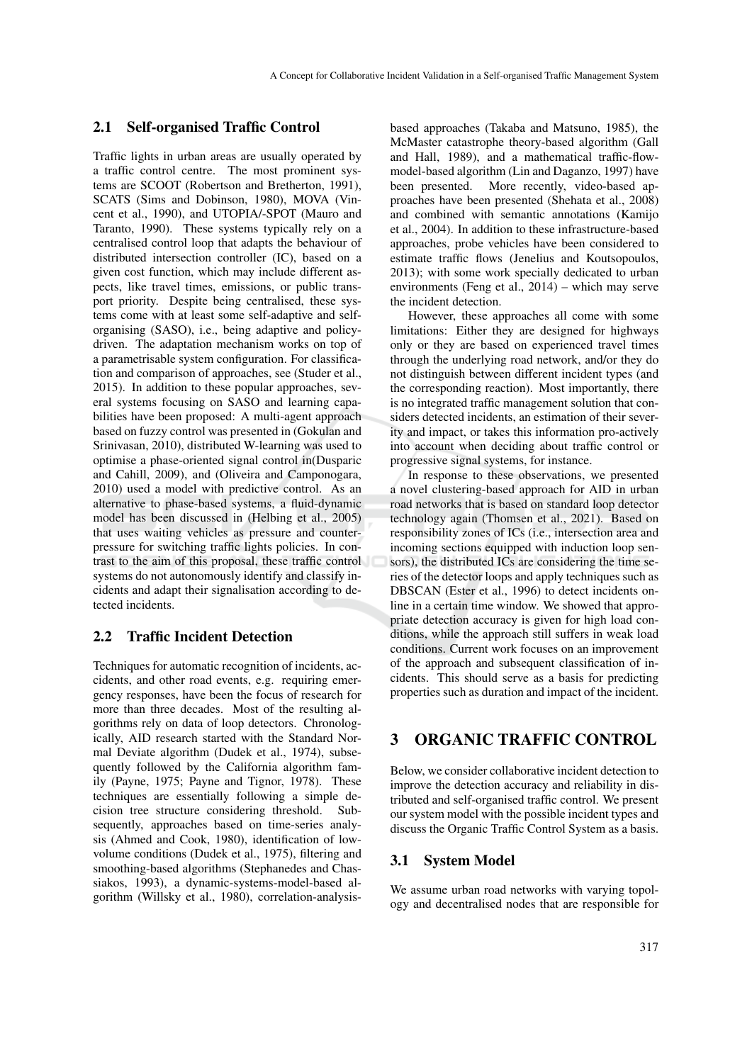### 2.1 Self-organised Traffic Control

Traffic lights in urban areas are usually operated by a traffic control centre. The most prominent systems are SCOOT (Robertson and Bretherton, 1991), SCATS (Sims and Dobinson, 1980), MOVA (Vincent et al., 1990), and UTOPIA/-SPOT (Mauro and Taranto, 1990). These systems typically rely on a centralised control loop that adapts the behaviour of distributed intersection controller (IC), based on a given cost function, which may include different aspects, like travel times, emissions, or public transport priority. Despite being centralised, these systems come with at least some self-adaptive and selforganising (SASO), i.e., being adaptive and policydriven. The adaptation mechanism works on top of a parametrisable system configuration. For classification and comparison of approaches, see (Studer et al., 2015). In addition to these popular approaches, several systems focusing on SASO and learning capabilities have been proposed: A multi-agent approach based on fuzzy control was presented in (Gokulan and Srinivasan, 2010), distributed W-learning was used to optimise a phase-oriented signal control in(Dusparic and Cahill, 2009), and (Oliveira and Camponogara, 2010) used a model with predictive control. As an alternative to phase-based systems, a fluid-dynamic model has been discussed in (Helbing et al., 2005) that uses waiting vehicles as pressure and counterpressure for switching traffic lights policies. In contrast to the aim of this proposal, these traffic control systems do not autonomously identify and classify incidents and adapt their signalisation according to detected incidents.

### 2.2 Traffic Incident Detection

Techniques for automatic recognition of incidents, accidents, and other road events, e.g. requiring emergency responses, have been the focus of research for more than three decades. Most of the resulting algorithms rely on data of loop detectors. Chronologically, AID research started with the Standard Normal Deviate algorithm (Dudek et al., 1974), subsequently followed by the California algorithm family (Payne, 1975; Payne and Tignor, 1978). These techniques are essentially following a simple decision tree structure considering threshold. Subsequently, approaches based on time-series analysis (Ahmed and Cook, 1980), identification of lowvolume conditions (Dudek et al., 1975), filtering and smoothing-based algorithms (Stephanedes and Chassiakos, 1993), a dynamic-systems-model-based algorithm (Willsky et al., 1980), correlation-analysis-

based approaches (Takaba and Matsuno, 1985), the McMaster catastrophe theory-based algorithm (Gall and Hall, 1989), and a mathematical traffic-flowmodel-based algorithm (Lin and Daganzo, 1997) have been presented. More recently, video-based approaches have been presented (Shehata et al., 2008) and combined with semantic annotations (Kamijo et al., 2004). In addition to these infrastructure-based approaches, probe vehicles have been considered to estimate traffic flows (Jenelius and Koutsopoulos, 2013); with some work specially dedicated to urban environments (Feng et al., 2014) – which may serve the incident detection.

However, these approaches all come with some limitations: Either they are designed for highways only or they are based on experienced travel times through the underlying road network, and/or they do not distinguish between different incident types (and the corresponding reaction). Most importantly, there is no integrated traffic management solution that considers detected incidents, an estimation of their severity and impact, or takes this information pro-actively into account when deciding about traffic control or progressive signal systems, for instance.

In response to these observations, we presented a novel clustering-based approach for AID in urban road networks that is based on standard loop detector technology again (Thomsen et al., 2021). Based on responsibility zones of ICs (i.e., intersection area and incoming sections equipped with induction loop sensors), the distributed ICs are considering the time series of the detector loops and apply techniques such as DBSCAN (Ester et al., 1996) to detect incidents online in a certain time window. We showed that appropriate detection accuracy is given for high load conditions, while the approach still suffers in weak load conditions. Current work focuses on an improvement of the approach and subsequent classification of incidents. This should serve as a basis for predicting properties such as duration and impact of the incident.

## 3 ORGANIC TRAFFIC CONTROL

Below, we consider collaborative incident detection to improve the detection accuracy and reliability in distributed and self-organised traffic control. We present our system model with the possible incident types and discuss the Organic Traffic Control System as a basis.

#### 3.1 System Model

We assume urban road networks with varying topology and decentralised nodes that are responsible for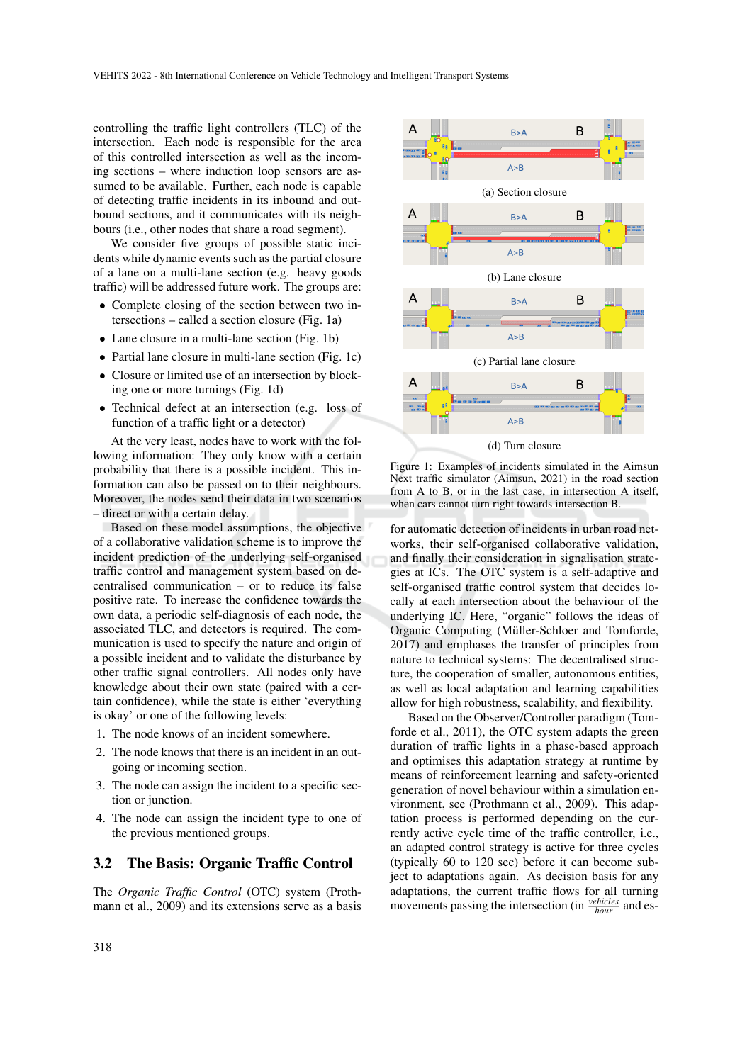controlling the traffic light controllers (TLC) of the intersection. Each node is responsible for the area of this controlled intersection as well as the incoming sections – where induction loop sensors are assumed to be available. Further, each node is capable of detecting traffic incidents in its inbound and outbound sections, and it communicates with its neighbours (i.e., other nodes that share a road segment).

We consider five groups of possible static incidents while dynamic events such as the partial closure of a lane on a multi-lane section (e.g. heavy goods traffic) will be addressed future work. The groups are:

- Complete closing of the section between two intersections – called a section closure (Fig. 1a)
- Lane closure in a multi-lane section (Fig. 1b)
- Partial lane closure in multi-lane section (Fig. 1c)
- Closure or limited use of an intersection by blocking one or more turnings (Fig. 1d)
- Technical defect at an intersection (e.g. loss of function of a traffic light or a detector)

At the very least, nodes have to work with the following information: They only know with a certain probability that there is a possible incident. This information can also be passed on to their neighbours. Moreover, the nodes send their data in two scenarios – direct or with a certain delay.

Based on these model assumptions, the objective of a collaborative validation scheme is to improve the incident prediction of the underlying self-organised traffic control and management system based on decentralised communication – or to reduce its false positive rate. To increase the confidence towards the own data, a periodic self-diagnosis of each node, the associated TLC, and detectors is required. The communication is used to specify the nature and origin of a possible incident and to validate the disturbance by other traffic signal controllers. All nodes only have knowledge about their own state (paired with a certain confidence), while the state is either 'everything is okay' or one of the following levels:

- 1. The node knows of an incident somewhere.
- 2. The node knows that there is an incident in an outgoing or incoming section.
- 3. The node can assign the incident to a specific section or junction.
- 4. The node can assign the incident type to one of the previous mentioned groups.

### 3.2 The Basis: Organic Traffic Control

The *Organic Traffic Control* (OTC) system (Prothmann et al., 2009) and its extensions serve as a basis



Figure 1: Examples of incidents simulated in the Aimsun Next traffic simulator (Aimsun, 2021) in the road section from A to B, or in the last case, in intersection A itself, when cars cannot turn right towards intersection B.

for automatic detection of incidents in urban road networks, their self-organised collaborative validation, and finally their consideration in signalisation strategies at ICs. The OTC system is a self-adaptive and self-organised traffic control system that decides locally at each intersection about the behaviour of the underlying IC. Here, "organic" follows the ideas of Organic Computing (Müller-Schloer and Tomforde, 2017) and emphases the transfer of principles from nature to technical systems: The decentralised structure, the cooperation of smaller, autonomous entities, as well as local adaptation and learning capabilities allow for high robustness, scalability, and flexibility.

Based on the Observer/Controller paradigm (Tomforde et al., 2011), the OTC system adapts the green duration of traffic lights in a phase-based approach and optimises this adaptation strategy at runtime by means of reinforcement learning and safety-oriented generation of novel behaviour within a simulation environment, see (Prothmann et al., 2009). This adaptation process is performed depending on the currently active cycle time of the traffic controller, i.e., an adapted control strategy is active for three cycles (typically 60 to 120 sec) before it can become subject to adaptations again. As decision basis for any adaptations, the current traffic flows for all turning movements passing the intersection (in  $\frac{velicles}{hour}$  and es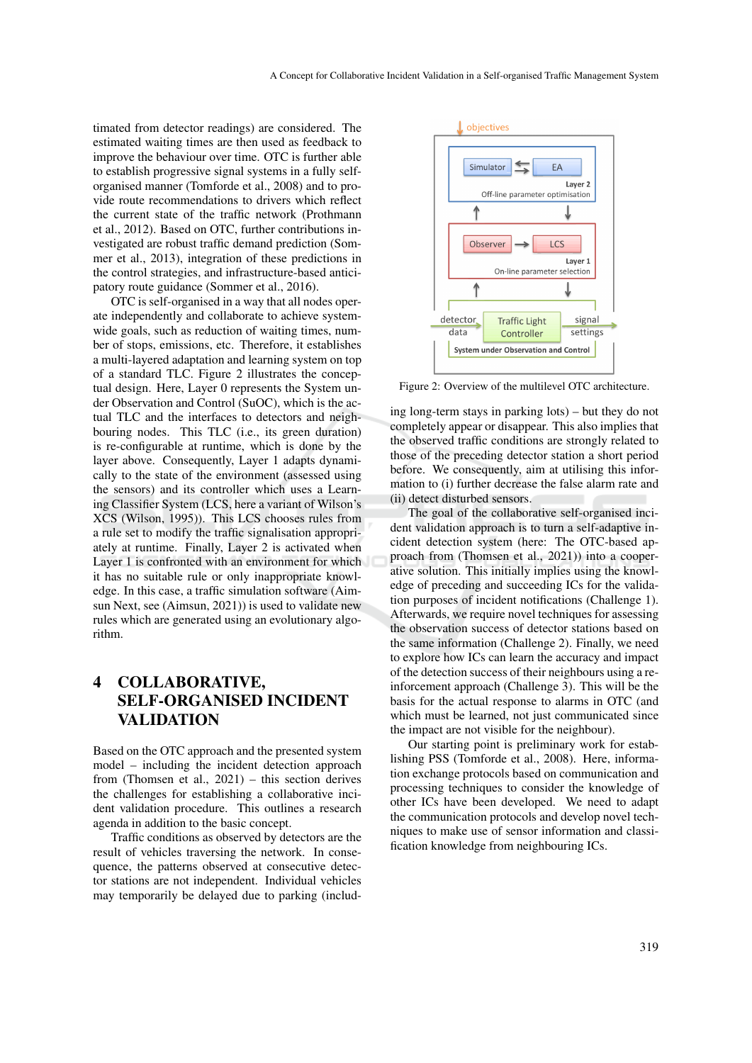timated from detector readings) are considered. The estimated waiting times are then used as feedback to improve the behaviour over time. OTC is further able to establish progressive signal systems in a fully selforganised manner (Tomforde et al., 2008) and to provide route recommendations to drivers which reflect the current state of the traffic network (Prothmann et al., 2012). Based on OTC, further contributions investigated are robust traffic demand prediction (Sommer et al., 2013), integration of these predictions in the control strategies, and infrastructure-based anticipatory route guidance (Sommer et al., 2016).

OTC is self-organised in a way that all nodes operate independently and collaborate to achieve systemwide goals, such as reduction of waiting times, number of stops, emissions, etc. Therefore, it establishes a multi-layered adaptation and learning system on top of a standard TLC. Figure 2 illustrates the conceptual design. Here, Layer 0 represents the System under Observation and Control (SuOC), which is the actual TLC and the interfaces to detectors and neighbouring nodes. This TLC (i.e., its green duration) is re-configurable at runtime, which is done by the layer above. Consequently, Layer 1 adapts dynamically to the state of the environment (assessed using the sensors) and its controller which uses a Learning Classifier System (LCS, here a variant of Wilson's XCS (Wilson, 1995)). This LCS chooses rules from a rule set to modify the traffic signalisation appropriately at runtime. Finally, Layer 2 is activated when Layer 1 is confronted with an environment for which it has no suitable rule or only inappropriate knowledge. In this case, a traffic simulation software (Aimsun Next, see (Aimsun, 2021)) is used to validate new rules which are generated using an evolutionary algorithm.

## 4 COLLABORATIVE, SELF-ORGANISED INCIDENT VALIDATION

Based on the OTC approach and the presented system model – including the incident detection approach from (Thomsen et al., 2021) – this section derives the challenges for establishing a collaborative incident validation procedure. This outlines a research agenda in addition to the basic concept.

Traffic conditions as observed by detectors are the result of vehicles traversing the network. In consequence, the patterns observed at consecutive detector stations are not independent. Individual vehicles may temporarily be delayed due to parking (includ-



Figure 2: Overview of the multilevel OTC architecture.

ing long-term stays in parking lots) – but they do not completely appear or disappear. This also implies that the observed traffic conditions are strongly related to those of the preceding detector station a short period before. We consequently, aim at utilising this information to (i) further decrease the false alarm rate and (ii) detect disturbed sensors.

The goal of the collaborative self-organised incident validation approach is to turn a self-adaptive incident detection system (here: The OTC-based approach from (Thomsen et al., 2021)) into a cooperative solution. This initially implies using the knowledge of preceding and succeeding ICs for the validation purposes of incident notifications (Challenge 1). Afterwards, we require novel techniques for assessing the observation success of detector stations based on the same information (Challenge 2). Finally, we need to explore how ICs can learn the accuracy and impact of the detection success of their neighbours using a reinforcement approach (Challenge 3). This will be the basis for the actual response to alarms in OTC (and which must be learned, not just communicated since the impact are not visible for the neighbour).

Our starting point is preliminary work for establishing PSS (Tomforde et al., 2008). Here, information exchange protocols based on communication and processing techniques to consider the knowledge of other ICs have been developed. We need to adapt the communication protocols and develop novel techniques to make use of sensor information and classification knowledge from neighbouring ICs.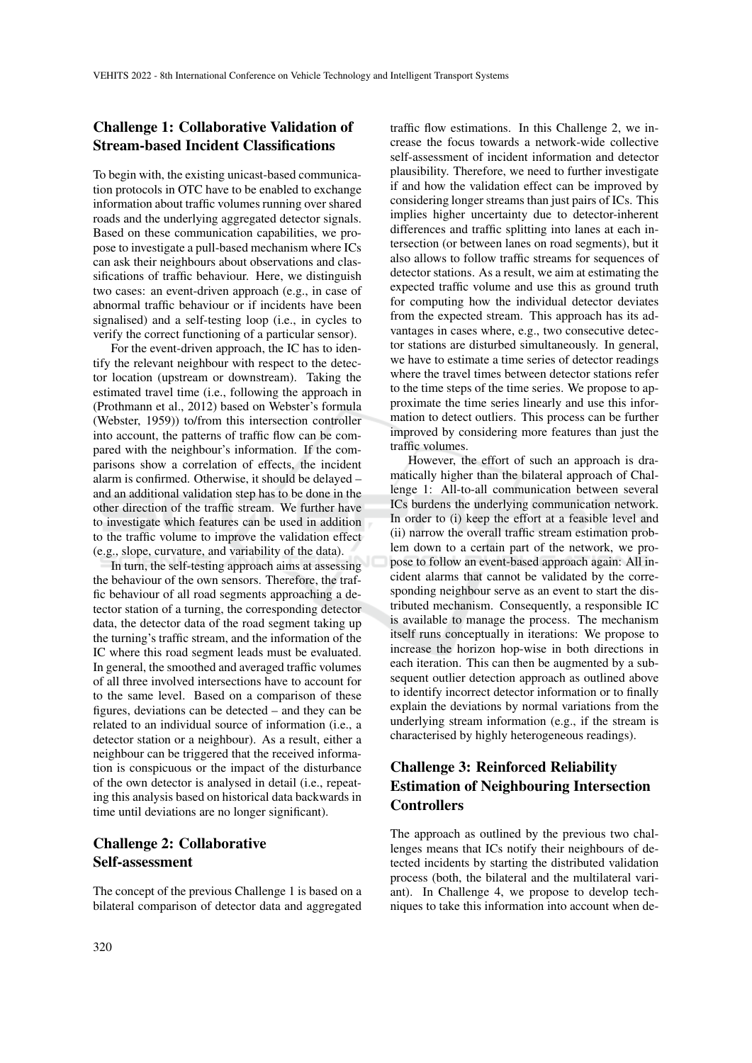### Challenge 1: Collaborative Validation of Stream-based Incident Classifications

To begin with, the existing unicast-based communication protocols in OTC have to be enabled to exchange information about traffic volumes running over shared roads and the underlying aggregated detector signals. Based on these communication capabilities, we propose to investigate a pull-based mechanism where ICs can ask their neighbours about observations and classifications of traffic behaviour. Here, we distinguish two cases: an event-driven approach (e.g., in case of abnormal traffic behaviour or if incidents have been signalised) and a self-testing loop (i.e., in cycles to verify the correct functioning of a particular sensor).

For the event-driven approach, the IC has to identify the relevant neighbour with respect to the detector location (upstream or downstream). Taking the estimated travel time (i.e., following the approach in (Prothmann et al., 2012) based on Webster's formula (Webster, 1959)) to/from this intersection controller into account, the patterns of traffic flow can be compared with the neighbour's information. If the comparisons show a correlation of effects, the incident alarm is confirmed. Otherwise, it should be delayed – and an additional validation step has to be done in the other direction of the traffic stream. We further have to investigate which features can be used in addition to the traffic volume to improve the validation effect (e.g., slope, curvature, and variability of the data).

In turn, the self-testing approach aims at assessing the behaviour of the own sensors. Therefore, the traffic behaviour of all road segments approaching a detector station of a turning, the corresponding detector data, the detector data of the road segment taking up the turning's traffic stream, and the information of the IC where this road segment leads must be evaluated. In general, the smoothed and averaged traffic volumes of all three involved intersections have to account for to the same level. Based on a comparison of these figures, deviations can be detected – and they can be related to an individual source of information (i.e., a detector station or a neighbour). As a result, either a neighbour can be triggered that the received information is conspicuous or the impact of the disturbance of the own detector is analysed in detail (i.e., repeating this analysis based on historical data backwards in time until deviations are no longer significant).

## Challenge 2: Collaborative Self-assessment

The concept of the previous Challenge 1 is based on a bilateral comparison of detector data and aggregated

traffic flow estimations. In this Challenge 2, we increase the focus towards a network-wide collective self-assessment of incident information and detector plausibility. Therefore, we need to further investigate if and how the validation effect can be improved by considering longer streams than just pairs of ICs. This implies higher uncertainty due to detector-inherent differences and traffic splitting into lanes at each intersection (or between lanes on road segments), but it also allows to follow traffic streams for sequences of detector stations. As a result, we aim at estimating the expected traffic volume and use this as ground truth for computing how the individual detector deviates from the expected stream. This approach has its advantages in cases where, e.g., two consecutive detector stations are disturbed simultaneously. In general, we have to estimate a time series of detector readings where the travel times between detector stations refer to the time steps of the time series. We propose to approximate the time series linearly and use this information to detect outliers. This process can be further improved by considering more features than just the traffic volumes.

However, the effort of such an approach is dramatically higher than the bilateral approach of Challenge 1: All-to-all communication between several ICs burdens the underlying communication network. In order to (i) keep the effort at a feasible level and (ii) narrow the overall traffic stream estimation problem down to a certain part of the network, we propose to follow an event-based approach again: All incident alarms that cannot be validated by the corresponding neighbour serve as an event to start the distributed mechanism. Consequently, a responsible IC is available to manage the process. The mechanism itself runs conceptually in iterations: We propose to increase the horizon hop-wise in both directions in each iteration. This can then be augmented by a subsequent outlier detection approach as outlined above to identify incorrect detector information or to finally explain the deviations by normal variations from the underlying stream information (e.g., if the stream is characterised by highly heterogeneous readings).

## Challenge 3: Reinforced Reliability Estimation of Neighbouring Intersection **Controllers**

The approach as outlined by the previous two challenges means that ICs notify their neighbours of detected incidents by starting the distributed validation process (both, the bilateral and the multilateral variant). In Challenge 4, we propose to develop techniques to take this information into account when de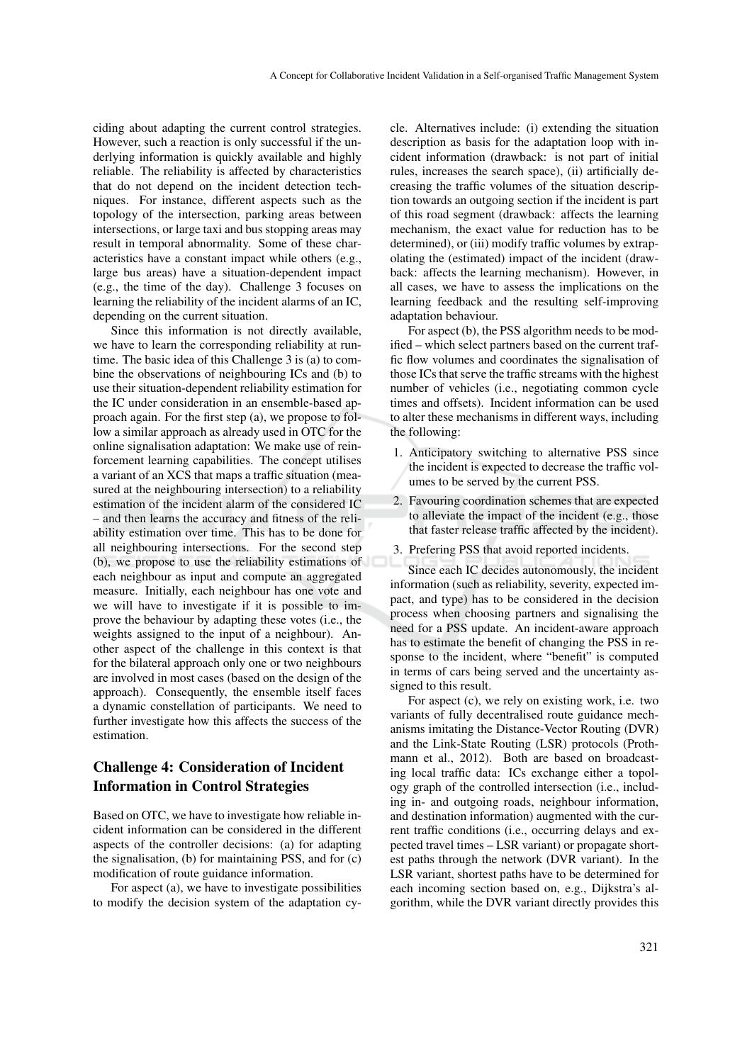ciding about adapting the current control strategies. However, such a reaction is only successful if the underlying information is quickly available and highly reliable. The reliability is affected by characteristics that do not depend on the incident detection techniques. For instance, different aspects such as the topology of the intersection, parking areas between intersections, or large taxi and bus stopping areas may result in temporal abnormality. Some of these characteristics have a constant impact while others (e.g., large bus areas) have a situation-dependent impact (e.g., the time of the day). Challenge 3 focuses on learning the reliability of the incident alarms of an IC, depending on the current situation.

Since this information is not directly available, we have to learn the corresponding reliability at runtime. The basic idea of this Challenge 3 is (a) to combine the observations of neighbouring ICs and (b) to use their situation-dependent reliability estimation for the IC under consideration in an ensemble-based approach again. For the first step (a), we propose to follow a similar approach as already used in OTC for the online signalisation adaptation: We make use of reinforcement learning capabilities. The concept utilises a variant of an XCS that maps a traffic situation (measured at the neighbouring intersection) to a reliability estimation of the incident alarm of the considered IC – and then learns the accuracy and fitness of the reliability estimation over time. This has to be done for all neighbouring intersections. For the second step (b), we propose to use the reliability estimations of each neighbour as input and compute an aggregated measure. Initially, each neighbour has one vote and we will have to investigate if it is possible to improve the behaviour by adapting these votes (i.e., the weights assigned to the input of a neighbour). Another aspect of the challenge in this context is that for the bilateral approach only one or two neighbours are involved in most cases (based on the design of the approach). Consequently, the ensemble itself faces a dynamic constellation of participants. We need to further investigate how this affects the success of the estimation.

## Challenge 4: Consideration of Incident Information in Control Strategies

Based on OTC, we have to investigate how reliable incident information can be considered in the different aspects of the controller decisions: (a) for adapting the signalisation, (b) for maintaining PSS, and for (c) modification of route guidance information.

For aspect (a), we have to investigate possibilities to modify the decision system of the adaptation cycle. Alternatives include: (i) extending the situation description as basis for the adaptation loop with incident information (drawback: is not part of initial rules, increases the search space), (ii) artificially decreasing the traffic volumes of the situation description towards an outgoing section if the incident is part of this road segment (drawback: affects the learning mechanism, the exact value for reduction has to be determined), or (iii) modify traffic volumes by extrapolating the (estimated) impact of the incident (drawback: affects the learning mechanism). However, in all cases, we have to assess the implications on the learning feedback and the resulting self-improving adaptation behaviour.

For aspect (b), the PSS algorithm needs to be modified – which select partners based on the current traffic flow volumes and coordinates the signalisation of those ICs that serve the traffic streams with the highest number of vehicles (i.e., negotiating common cycle times and offsets). Incident information can be used to alter these mechanisms in different ways, including the following:

- 1. Anticipatory switching to alternative PSS since the incident is expected to decrease the traffic volumes to be served by the current PSS.
- 2. Favouring coordination schemes that are expected to alleviate the impact of the incident (e.g., those that faster release traffic affected by the incident).
- 3. Prefering PSS that avoid reported incidents.

Since each IC decides autonomously, the incident information (such as reliability, severity, expected impact, and type) has to be considered in the decision process when choosing partners and signalising the need for a PSS update. An incident-aware approach has to estimate the benefit of changing the PSS in response to the incident, where "benefit" is computed in terms of cars being served and the uncertainty assigned to this result.

For aspect (c), we rely on existing work, i.e. two variants of fully decentralised route guidance mechanisms imitating the Distance-Vector Routing (DVR) and the Link-State Routing (LSR) protocols (Prothmann et al., 2012). Both are based on broadcasting local traffic data: ICs exchange either a topology graph of the controlled intersection (i.e., including in- and outgoing roads, neighbour information, and destination information) augmented with the current traffic conditions (i.e., occurring delays and expected travel times – LSR variant) or propagate shortest paths through the network (DVR variant). In the LSR variant, shortest paths have to be determined for each incoming section based on, e.g., Dijkstra's algorithm, while the DVR variant directly provides this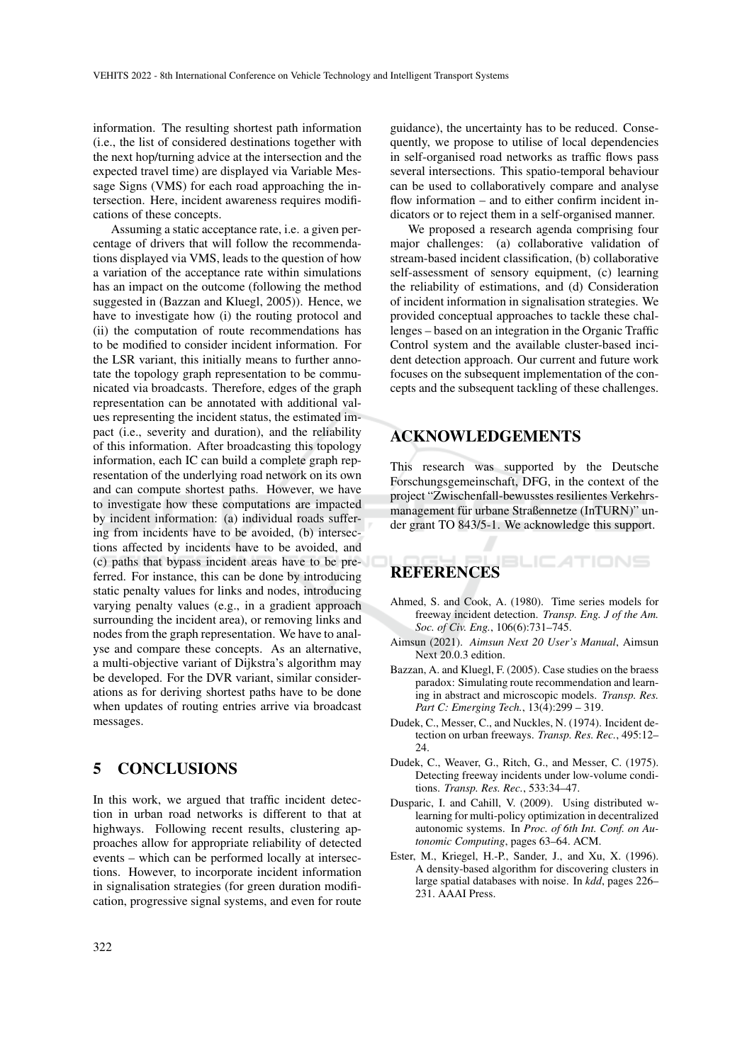information. The resulting shortest path information (i.e., the list of considered destinations together with the next hop/turning advice at the intersection and the expected travel time) are displayed via Variable Message Signs (VMS) for each road approaching the intersection. Here, incident awareness requires modifications of these concepts.

Assuming a static acceptance rate, i.e. a given percentage of drivers that will follow the recommendations displayed via VMS, leads to the question of how a variation of the acceptance rate within simulations has an impact on the outcome (following the method suggested in (Bazzan and Kluegl, 2005)). Hence, we have to investigate how (i) the routing protocol and (ii) the computation of route recommendations has to be modified to consider incident information. For the LSR variant, this initially means to further annotate the topology graph representation to be communicated via broadcasts. Therefore, edges of the graph representation can be annotated with additional values representing the incident status, the estimated impact (i.e., severity and duration), and the reliability of this information. After broadcasting this topology information, each IC can build a complete graph representation of the underlying road network on its own and can compute shortest paths. However, we have to investigate how these computations are impacted by incident information: (a) individual roads suffering from incidents have to be avoided, (b) intersections affected by incidents have to be avoided, and (c) paths that bypass incident areas have to be preferred. For instance, this can be done by introducing static penalty values for links and nodes, introducing varying penalty values (e.g., in a gradient approach surrounding the incident area), or removing links and nodes from the graph representation. We have to analyse and compare these concepts. As an alternative, a multi-objective variant of Dijkstra's algorithm may be developed. For the DVR variant, similar considerations as for deriving shortest paths have to be done when updates of routing entries arrive via broadcast messages.

## 5 CONCLUSIONS

In this work, we argued that traffic incident detection in urban road networks is different to that at highways. Following recent results, clustering approaches allow for appropriate reliability of detected events – which can be performed locally at intersections. However, to incorporate incident information in signalisation strategies (for green duration modification, progressive signal systems, and even for route

guidance), the uncertainty has to be reduced. Consequently, we propose to utilise of local dependencies in self-organised road networks as traffic flows pass several intersections. This spatio-temporal behaviour can be used to collaboratively compare and analyse flow information – and to either confirm incident indicators or to reject them in a self-organised manner.

We proposed a research agenda comprising four major challenges: (a) collaborative validation of stream-based incident classification, (b) collaborative self-assessment of sensory equipment, (c) learning the reliability of estimations, and (d) Consideration of incident information in signalisation strategies. We provided conceptual approaches to tackle these challenges – based on an integration in the Organic Traffic Control system and the available cluster-based incident detection approach. Our current and future work focuses on the subsequent implementation of the concepts and the subsequent tackling of these challenges.

## ACKNOWLEDGEMENTS

This research was supported by the Deutsche Forschungsgemeinschaft, DFG, in the context of the project "Zwischenfall-bewusstes resilientes Verkehrsmanagement für urbane Straßennetze (InTURN)" under grant TO 843/5-1. We acknowledge this support.

### BLICATIONS **REFERENCES**

- Ahmed, S. and Cook, A. (1980). Time series models for freeway incident detection. *Transp. Eng. J of the Am. Soc. of Civ. Eng.*, 106(6):731–745.
- Aimsun (2021). *Aimsun Next 20 User's Manual*, Aimsun Next 20.0.3 edition.
- Bazzan, A. and Kluegl, F. (2005). Case studies on the braess paradox: Simulating route recommendation and learning in abstract and microscopic models. *Transp. Res. Part C: Emerging Tech.*, 13(4):299 – 319.
- Dudek, C., Messer, C., and Nuckles, N. (1974). Incident detection on urban freeways. *Transp. Res. Rec.*, 495:12– 24.
- Dudek, C., Weaver, G., Ritch, G., and Messer, C. (1975). Detecting freeway incidents under low-volume conditions. *Transp. Res. Rec.*, 533:34–47.
- Dusparic, I. and Cahill, V. (2009). Using distributed wlearning for multi-policy optimization in decentralized autonomic systems. In *Proc. of 6th Int. Conf. on Autonomic Computing*, pages 63–64. ACM.
- Ester, M., Kriegel, H.-P., Sander, J., and Xu, X. (1996). A density-based algorithm for discovering clusters in large spatial databases with noise. In *kdd*, pages 226– 231. AAAI Press.